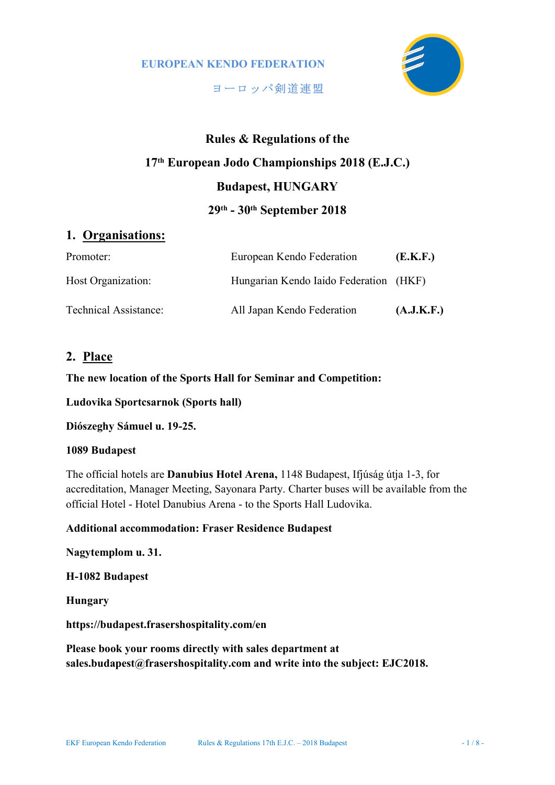

ヨーロッパ剣道連盟

# Rules & Regulations of the 17th European Jodo Championships 2018 (E.J.C.) Budapest, HUNGARY 29th - 30th September 2018

# 1. Organisations:

| Promoter:             | European Kendo Federation              | (E.K.F.)   |
|-----------------------|----------------------------------------|------------|
| Host Organization:    | Hungarian Kendo Iaido Federation (HKF) |            |
| Technical Assistance: | All Japan Kendo Federation             | (A.J.K.F.) |

# 2. Place

The new location of the Sports Hall for Seminar and Competition:

Ludovika Sportcsarnok (Sports hall)

Diószeghy Sámuel u. 19-25.

#### 1089 Budapest

The official hotels are Danubius Hotel Arena, 1148 Budapest, Ifjúság útja 1-3, for accreditation, Manager Meeting, Sayonara Party. Charter buses will be available from the official Hotel - Hotel Danubius Arena - to the Sports Hall Ludovika.

#### Additional accommodation: Fraser Residence Budapest

#### Nagytemplom u. 31.

#### H-1082 Budapest

#### Hungary

#### https://budapest.frasershospitality.com/en

Please book your rooms directly with sales department at sales.budapest@frasershospitality.com and write into the subject: EJC2018.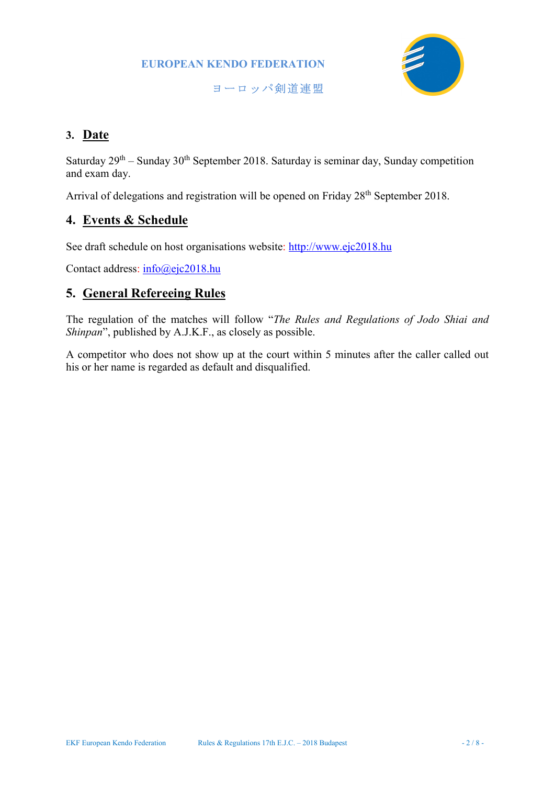

ヨーロッパ剣道連盟

# 3. Date

Saturday  $29^{th}$  – Sunday  $30^{th}$  September 2018. Saturday is seminar day, Sunday competition and exam day.

Arrival of delegations and registration will be opened on Friday 28<sup>th</sup> September 2018.

# 4. Events & Schedule

See draft schedule on host organisations website: http://www.ejc2018.hu

Contact address: info@ejc2018.hu

# 5. General Refereeing Rules

The regulation of the matches will follow "The Rules and Regulations of Jodo Shiai and Shinpan", published by A.J.K.F., as closely as possible.

A competitor who does not show up at the court within 5 minutes after the caller called out his or her name is regarded as default and disqualified.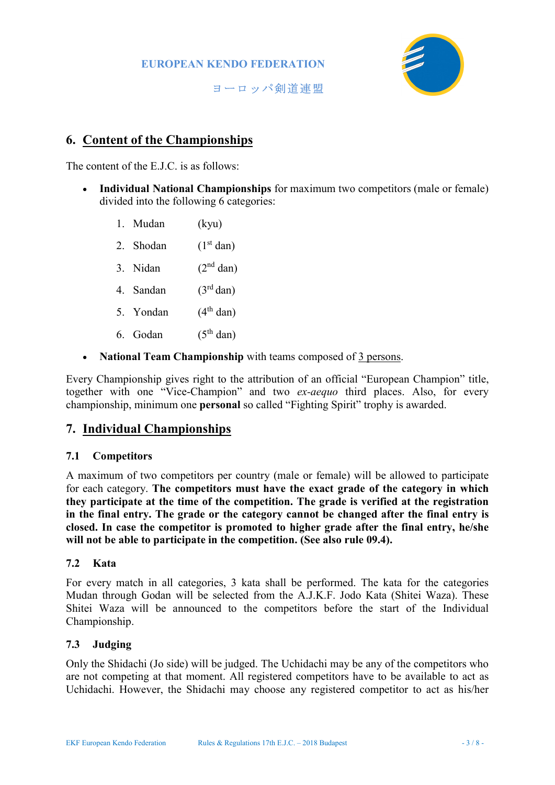

ヨーロッパ剣道連盟

# 6. Content of the Championships

The content of the E.J.C. is as follows:

- Individual National Championships for maximum two competitors (male or female) divided into the following 6 categories:
	- 1. Mudan (kyu)
	- 2. Shodan  $(1<sup>st</sup> dan)$
	- 3. Nidan  $(2<sup>nd</sup> dan)$
	- 4. Sandan  $(3<sup>rd</sup> dan)$
	- 5. Yondan  $(4<sup>th</sup>$  dan)
	- 6. Godan  $(5<sup>th</sup>$  dan)
- National Team Championship with teams composed of 3 persons.

Every Championship gives right to the attribution of an official "European Champion" title, together with one "Vice-Champion" and two ex-aequo third places. Also, for every championship, minimum one personal so called "Fighting Spirit" trophy is awarded.

### 7. Individual Championships

#### 7.1 Competitors

A maximum of two competitors per country (male or female) will be allowed to participate for each category. The competitors must have the exact grade of the category in which they participate at the time of the competition. The grade is verified at the registration in the final entry. The grade or the category cannot be changed after the final entry is closed. In case the competitor is promoted to higher grade after the final entry, he/she will not be able to participate in the competition. (See also rule 09.4).

#### 7.2 Kata

For every match in all categories, 3 kata shall be performed. The kata for the categories Mudan through Godan will be selected from the A.J.K.F. Jodo Kata (Shitei Waza). These Shitei Waza will be announced to the competitors before the start of the Individual Championship.

#### 7.3 Judging

Only the Shidachi (Jo side) will be judged. The Uchidachi may be any of the competitors who are not competing at that moment. All registered competitors have to be available to act as Uchidachi. However, the Shidachi may choose any registered competitor to act as his/her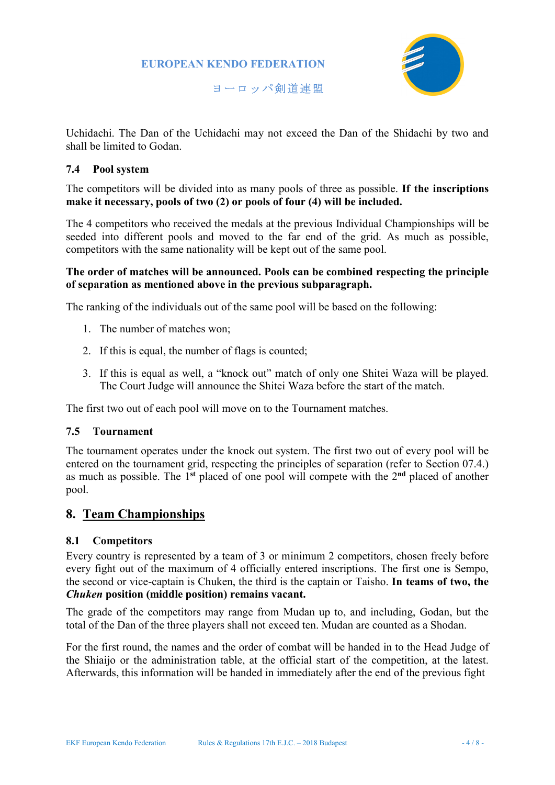

ヨーロッパ剣道連盟

Uchidachi. The Dan of the Uchidachi may not exceed the Dan of the Shidachi by two and shall be limited to Godan.

#### 7.4 Pool system

The competitors will be divided into as many pools of three as possible. If the inscriptions make it necessary, pools of two (2) or pools of four (4) will be included.

The 4 competitors who received the medals at the previous Individual Championships will be seeded into different pools and moved to the far end of the grid. As much as possible, competitors with the same nationality will be kept out of the same pool.

#### The order of matches will be announced. Pools can be combined respecting the principle of separation as mentioned above in the previous subparagraph.

The ranking of the individuals out of the same pool will be based on the following:

- 1. The number of matches won;
- 2. If this is equal, the number of flags is counted;
- 3. If this is equal as well, a "knock out" match of only one Shitei Waza will be played. The Court Judge will announce the Shitei Waza before the start of the match.

The first two out of each pool will move on to the Tournament matches.

#### 7.5 Tournament

The tournament operates under the knock out system. The first two out of every pool will be entered on the tournament grid, respecting the principles of separation (refer to Section 07.4.) as much as possible. The 1st placed of one pool will compete with the 2nd placed of another pool.

# 8. Team Championships

#### 8.1 Competitors

Every country is represented by a team of 3 or minimum 2 competitors, chosen freely before every fight out of the maximum of 4 officially entered inscriptions. The first one is Sempo, the second or vice-captain is Chuken, the third is the captain or Taisho. In teams of two, the Chuken position (middle position) remains vacant.

The grade of the competitors may range from Mudan up to, and including, Godan, but the total of the Dan of the three players shall not exceed ten. Mudan are counted as a Shodan.

For the first round, the names and the order of combat will be handed in to the Head Judge of the Shiaijo or the administration table, at the official start of the competition, at the latest. Afterwards, this information will be handed in immediately after the end of the previous fight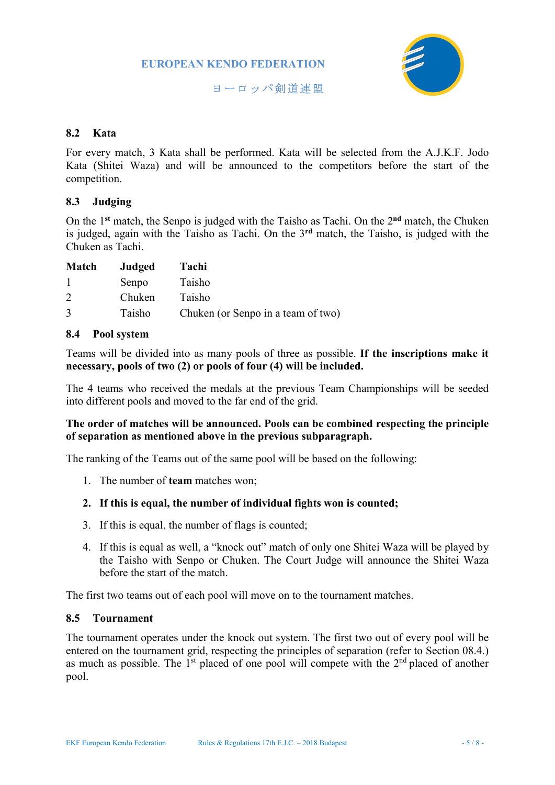

ヨーロッパ剣道連盟

#### 8.2 Kata

For every match, 3 Kata shall be performed. Kata will be selected from the A.J.K.F. Jodo Kata (Shitei Waza) and will be announced to the competitors before the start of the competition.

### 8.3 Judging

On the 1<sup>st</sup> match, the Senpo is judged with the Taisho as Tachi. On the 2<sup>nd</sup> match, the Chuken is judged, again with the Taisho as Tachi. On the  $3<sup>rd</sup>$  match, the Taisho, is judged with the Chuken as Tachi.

| Match         | Judged | Tachi                              |
|---------------|--------|------------------------------------|
|               | Senpo  | Taisho                             |
| $\mathcal{D}$ | Chuken | Taisho                             |
| 3             | Taisho | Chuken (or Senpo in a team of two) |

#### 8.4 Pool system

Teams will be divided into as many pools of three as possible. If the inscriptions make it necessary, pools of two (2) or pools of four (4) will be included.

The 4 teams who received the medals at the previous Team Championships will be seeded into different pools and moved to the far end of the grid.

### The order of matches will be announced. Pools can be combined respecting the principle of separation as mentioned above in the previous subparagraph.

The ranking of the Teams out of the same pool will be based on the following:

1. The number of team matches won;

#### 2. If this is equal, the number of individual fights won is counted;

- 3. If this is equal, the number of flags is counted;
- 4. If this is equal as well, a "knock out" match of only one Shitei Waza will be played by the Taisho with Senpo or Chuken. The Court Judge will announce the Shitei Waza before the start of the match.

The first two teams out of each pool will move on to the tournament matches.

#### 8.5 Tournament

The tournament operates under the knock out system. The first two out of every pool will be entered on the tournament grid, respecting the principles of separation (refer to Section 08.4.) as much as possible. The  $1<sup>st</sup>$  placed of one pool will compete with the  $2<sup>nd</sup>$  placed of another pool.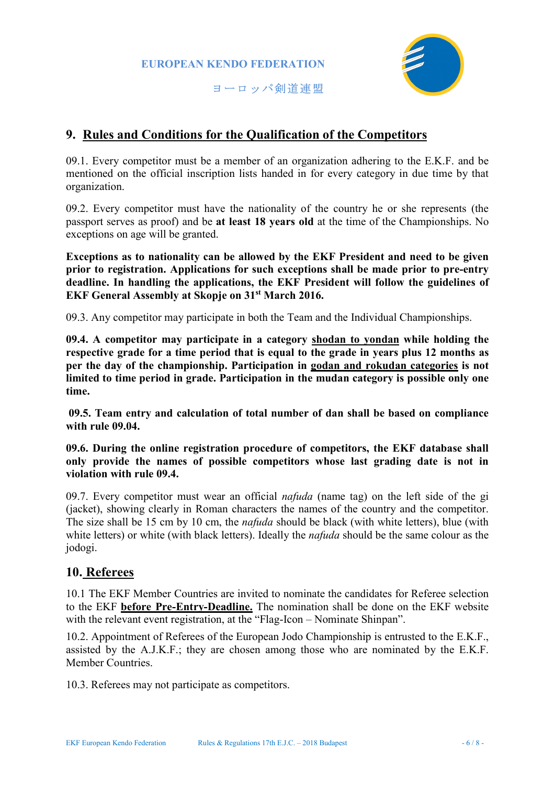

ヨーロッパ剣道連盟

# 9. Rules and Conditions for the Qualification of the Competitors

09.1. Every competitor must be a member of an organization adhering to the E.K.F. and be mentioned on the official inscription lists handed in for every category in due time by that organization.

09.2. Every competitor must have the nationality of the country he or she represents (the passport serves as proof) and be at least 18 years old at the time of the Championships. No exceptions on age will be granted.

Exceptions as to nationality can be allowed by the EKF President and need to be given prior to registration. Applications for such exceptions shall be made prior to pre-entry deadline. In handling the applications, the EKF President will follow the guidelines of EKF General Assembly at Skopje on 31st March 2016.

09.3. Any competitor may participate in both the Team and the Individual Championships.

09.4. A competitor may participate in a category shodan to yondan while holding the respective grade for a time period that is equal to the grade in years plus 12 months as per the day of the championship. Participation in godan and rokudan categories is not limited to time period in grade. Participation in the mudan category is possible only one time.

 09.5. Team entry and calculation of total number of dan shall be based on compliance with rule 09.04.

09.6. During the online registration procedure of competitors, the EKF database shall only provide the names of possible competitors whose last grading date is not in violation with rule 09.4.

09.7. Every competitor must wear an official *nafuda* (name tag) on the left side of the gi (jacket), showing clearly in Roman characters the names of the country and the competitor. The size shall be 15 cm by 10 cm, the *nafuda* should be black (with white letters), blue (with white letters) or white (with black letters). Ideally the *nafuda* should be the same colour as the jodogi.

# 10. Referees

10.1 The EKF Member Countries are invited to nominate the candidates for Referee selection to the EKF before Pre-Entry-Deadline. The nomination shall be done on the EKF website with the relevant event registration, at the "Flag-Icon – Nominate Shinpan".

10.2. Appointment of Referees of the European Jodo Championship is entrusted to the E.K.F., assisted by the A.J.K.F.; they are chosen among those who are nominated by the E.K.F. Member Countries.

10.3. Referees may not participate as competitors.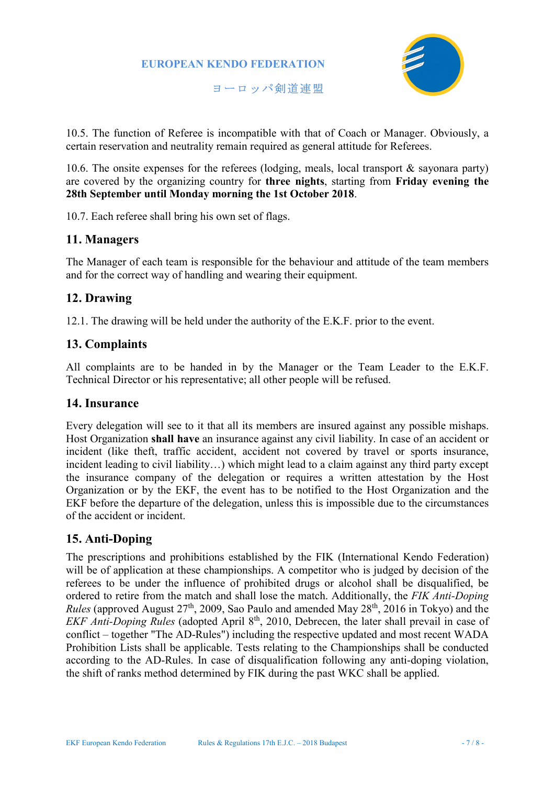

ヨーロッパ剣道連盟

10.5. The function of Referee is incompatible with that of Coach or Manager. Obviously, a certain reservation and neutrality remain required as general attitude for Referees.

10.6. The onsite expenses for the referees (lodging, meals, local transport & sayonara party) are covered by the organizing country for three nights, starting from Friday evening the 28th September until Monday morning the 1st October 2018.

10.7. Each referee shall bring his own set of flags.

# 11. Managers

The Manager of each team is responsible for the behaviour and attitude of the team members and for the correct way of handling and wearing their equipment.

# 12. Drawing

12.1. The drawing will be held under the authority of the E.K.F. prior to the event.

# 13. Complaints

All complaints are to be handed in by the Manager or the Team Leader to the E.K.F. Technical Director or his representative; all other people will be refused.

### 14. Insurance

Every delegation will see to it that all its members are insured against any possible mishaps. Host Organization shall have an insurance against any civil liability. In case of an accident or incident (like theft, traffic accident, accident not covered by travel or sports insurance, incident leading to civil liability…) which might lead to a claim against any third party except the insurance company of the delegation or requires a written attestation by the Host Organization or by the EKF, the event has to be notified to the Host Organization and the EKF before the departure of the delegation, unless this is impossible due to the circumstances of the accident or incident.

# 15. Anti-Doping

The prescriptions and prohibitions established by the FIK (International Kendo Federation) will be of application at these championships. A competitor who is judged by decision of the referees to be under the influence of prohibited drugs or alcohol shall be disqualified, be ordered to retire from the match and shall lose the match. Additionally, the FIK Anti-Doping *Rules* (approved August  $27<sup>th</sup>$ , 2009, Sao Paulo and amended May  $28<sup>th</sup>$ , 2016 in Tokyo) and the EKF Anti-Doping Rules (adopted April  $8<sup>th</sup>$ , 2010, Debrecen, the later shall prevail in case of conflict – together "The AD-Rules") including the respective updated and most recent WADA Prohibition Lists shall be applicable. Tests relating to the Championships shall be conducted according to the AD-Rules. In case of disqualification following any anti-doping violation, the shift of ranks method determined by FIK during the past WKC shall be applied.